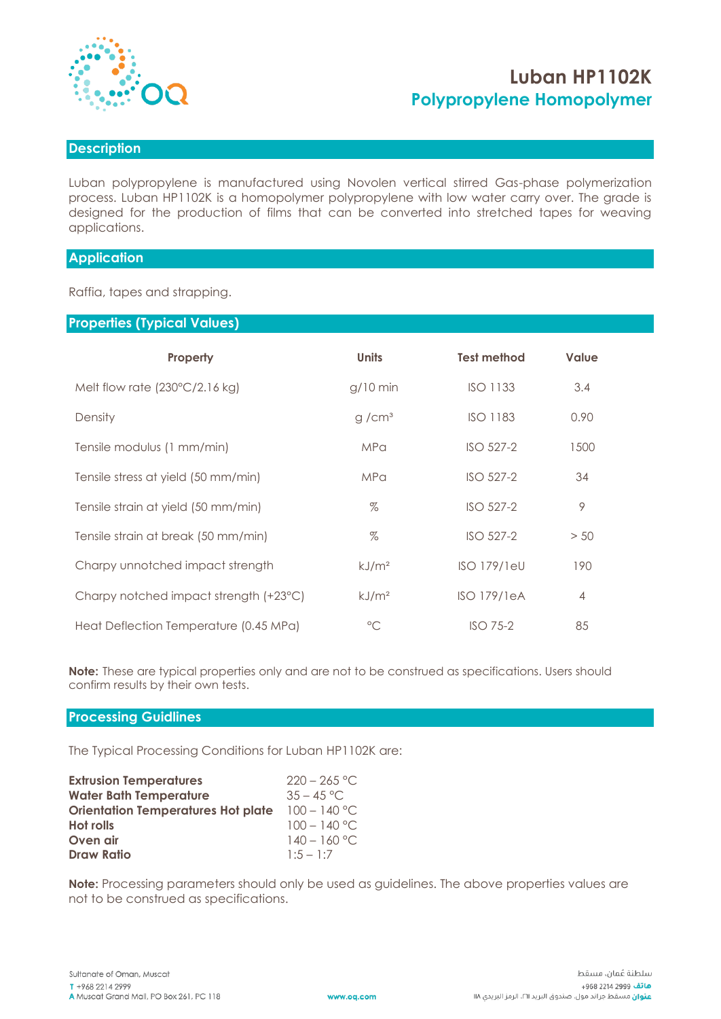

# **Luban HP1102K Polypropylene Homopolymer**

# **Description**

Luban polypropylene is manufactured using Novolen vertical stirred Gas-phase polymerization process. Luban HP1102K is a homopolymer polypropylene with low water carry over. The grade is designed for the production of films that can be converted into stretched tapes for weaving applications.

# **Application**

Raffia, tapes and strapping.

# **Properties (Typical Values)**

| Property                                | <b>Units</b>      | <b>Test method</b> | <b>Value</b>   |
|-----------------------------------------|-------------------|--------------------|----------------|
| Melt flow rate $(230^{\circ}C/2.16$ kg) | $g/10$ min        | <b>ISO 1133</b>    | 3.4            |
| Density                                 | g/cm <sup>3</sup> | <b>ISO 1183</b>    | 0.90           |
| Tensile modulus (1 mm/min)              | <b>MPa</b>        | ISO 527-2          | 1500           |
| Tensile stress at yield (50 mm/min)     | <b>MPa</b>        | ISO 527-2          | 34             |
| Tensile strain at yield (50 mm/min)     | $\%$              | ISO 527-2          | 9              |
| Tensile strain at break (50 mm/min)     | $\%$              | ISO 527-2          | > 50           |
| Charpy unnotched impact strength        | kJ/m <sup>2</sup> | <b>ISO 179/1eU</b> | 190            |
| Charpy notched impact strength (+23°C)  | kJ/m <sup>2</sup> | <b>ISO 179/1eA</b> | $\overline{4}$ |
| Heat Deflection Temperature (0.45 MPa)  | $^{\circ}C$       | $ISO$ 75-2         | 85             |

**Note:** These are typical properties only and are not to be construed as specifications. Users should confirm results by their own tests.

#### **Processing Guidlines**

The Typical Processing Conditions for Luban HP1102K are:

| <b>Extrusion Temperatures</b>             | $220 - 265$ °C. |
|-------------------------------------------|-----------------|
| <b>Water Bath Temperature</b>             | $35 - 45$ °C.   |
| <b>Orientation Temperatures Hot plate</b> | $100 - 140$ °C  |
| <b>Hot rolls</b>                          | $100 - 140$ °C  |
| Oven air                                  | $140 - 160$ °C  |
| <b>Draw Ratio</b>                         | $1:5 - 1:7$     |

**Note:** Processing parameters should only be used as guidelines. The above properties values are not to be construed as specifications.